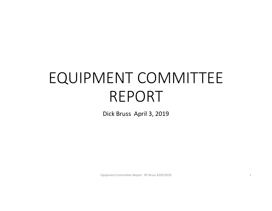# EQUIPMENT COMMITTEE REPORT

Dick Bruss April 3, 2019

Equipment Committee Report RF Bruss 4/03/2019 1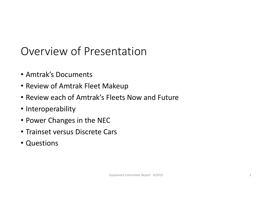#### Overview of Presentation

- Amtrak's Documents
- Review of Amtrak Fleet Makeup
- Review each of Amtrak's Fleets Now and Future
- Interoperability
- Power Changes in the NEC
- Trainset versus Discrete Cars
- Questions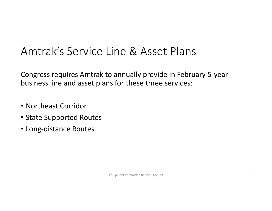#### Amtrak's Service Line & Asset Plans

Congress requires Amtrak to annually provide in February 5‐year business line and asset plans for these three services:

- Northeast Corridor
- State Supported Routes
- Long‐distance Routes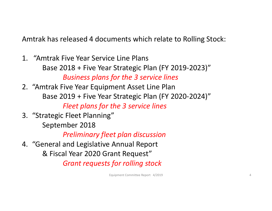Amtrak has released 4 documents which relate to Rolling Stock:

- 1. "Amtrak Five Year Service Line Plans Base 2018 + Five Year Strategic Plan (FY 2019‐2023)" *Business plans for the 3 service lines*
- 2. "Amtrak Five Year Equipment Asset Line Plan Base 2019 + Five Year Strategic Plan (FY 2020‐2024)" *Fleet plans for the 3 service lines*
- 3. "Strategic Fleet Planning"
	- September 2018

*Preliminary fleet plan discussion*

4. "General and Legislative Annual Report & Fiscal Year 2020 Grant Request" *Grant requests for rolling stock*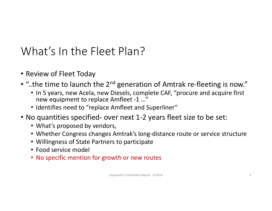# What's In the Fleet Plan?

- Review of Fleet Today
- "..the time to launch the 2<sup>nd</sup> generation of Amtrak re-fleeting is now."
	- In 5 years, new Acela, new Diesels, complete CAF, "procure and acquire first new equipment to replace Amfleet ‐1 …"
	- Identifies need to "replace Amfleet and Superliner"
- No quantities specified‐ over next 1‐2 years fleet size to be set:
	- What's proposed by vendors,
	- Whether Congress changes Amtrak's long‐distance route or service structure
	- Willingness of State Partners to participate
	- Food service model
	- No specific mention for growth or new routes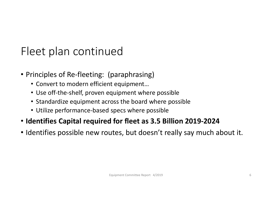# Fleet plan continued

- Principles of Re‐fleeting: (paraphrasing)
	- Convert to modern efficient equipment…
	- Use off‐the‐shelf, proven equipment where possible
	- Standardize equipment across the board where possible
	- Utilize performance‐based specs where possible
- **Identifies Capital required for fleet as 3.5 Billion 2019‐2024**
- Identifies possible new routes, but doesn't really say much about it.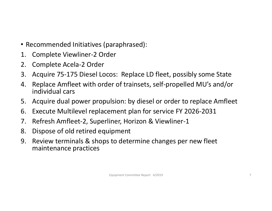- Recommended Initiatives (paraphrased):
- 1. Complete Viewliner‐2 Order
- 2. Complete Acela‐2 Order
- 3. Acquire 75‐175 Diesel Locos: Replace LD fleet, possibly some State
- 4. Replace Amfleet with order of trainsets, self‐propelled MU's and/or individual cars
- 5. Acquire dual power propulsion: by diesel or order to replace Amfleet
- 6. Execute Multilevel replacement plan for service FY 2026‐2031
- 7. Refresh Amfleet‐2, Superliner, Horizon & Viewliner‐1
- 8. Dispose of old retired equipment
- 9. Review terminals & shops to determine changes per new fleet maintenance practices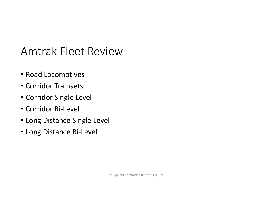#### Amtrak Fleet Review

- Road Locomotives
- Corridor Trainsets
- Corridor Single Level
- Corridor Bi‐Level
- Long Distance Single Level
- Long Distance Bi‐Level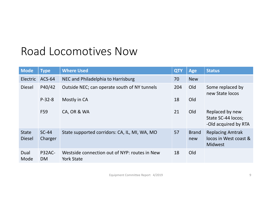#### Road Locomotives Now

| <b>Mode</b>                   | <b>Type</b>         | <b>Where Used</b>                                                  | <b>QTY</b> | <b>Age</b>          | <b>Status</b>                                                      |
|-------------------------------|---------------------|--------------------------------------------------------------------|------------|---------------------|--------------------------------------------------------------------|
| <b>Electric</b>               | $ACS-64$            | NEC and Philadelphia to Harrisburg                                 | 70         | <b>New</b>          |                                                                    |
| <b>Diesel</b>                 | P40/42              | Outside NEC; can operate south of NY tunnels                       | 204        | Old                 | Some replaced by<br>new State locos                                |
|                               | $P-32-8$            | Mostly in CA                                                       | 18         | Old                 |                                                                    |
|                               | F59                 | CA, OR & WA                                                        | 21         | Old                 | Replaced by new<br>State SC-44 locos;<br>-Old acquired by RTA      |
| <b>State</b><br><b>Diesel</b> | $SC-44$<br>Charger  | State supported corridors: CA, IL, MI, WA, MO                      | 57         | <b>Brand</b><br>new | <b>Replacing Amtrak</b><br>locos in West coast &<br><b>Midwest</b> |
| Dual<br>Mode                  | P32AC-<br><b>DM</b> | Westside connection out of NYP: routes in New<br><b>York State</b> | 18         | Old                 |                                                                    |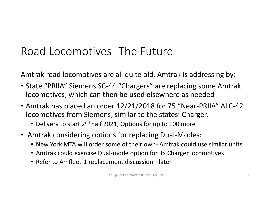# Road Locomotives‐ The Future

Amtrak road locomotives are all quite old. Amtrak is addressing by:

- State "PRIIA" Siemens SC‐44 "Chargers" are replacing some Amtrak locomotives, which can then be used elsewhere as needed
- Amtrak has placed an order 12/21/2018 for 75 "Near‐PRIIA" ALC‐42 locomotives from Siemens, similar to the states' Charger.
	- Delivery to start 2<sup>nd</sup> half 2021; Options for up to 100 more
- Amtrak considering options for replacing Dual‐Modes:
	- New York MTA will order some of their own‐ Amtrak could use similar units
	- Amtrak could exercise Dual‐mode option for its Charger locomotives
	- Refer to Amfleet‐1 replacement discussion ‐‐later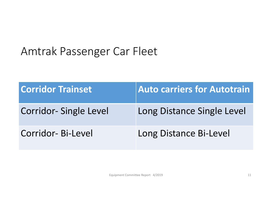# Amtrak Passenger Car Fleet

| <b>Corridor Trainset</b> | <b>Auto carriers for Autotrain</b> |
|--------------------------|------------------------------------|
| Corridor-Single Level    | Long Distance Single Level         |
| Corridor-Bi-Level        | Long Distance Bi-Level             |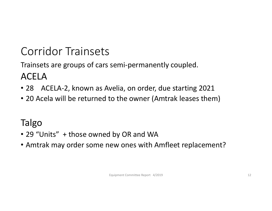# Corridor Trainsets

Trainsets are groups of cars semi‐permanently coupled. ACELA

- 28 ACELA‐2, known as Avelia, on order, due starting 2021
- 20 Acela will be returned to the owner (Amtrak leases them)

#### Talgo

- 29 "Units" + those owned by OR and WA
- Amtrak may order some new ones with Amfleet replacement?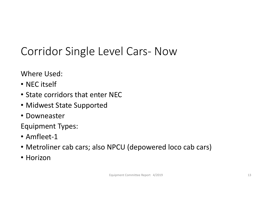# Corridor Single Level Cars‐ Now

Where Used:

- NEC itself
- State corridors that enter NEC
- Midwest State Supported
- Downeaster

Equipment Types:

- Amfleet‐1
- Metroliner cab cars; also NPCU (depowered loco cab cars)
- Horizon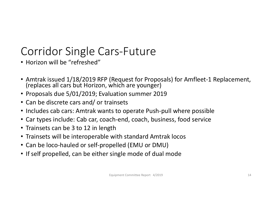# Corridor Single Cars‐Future

- Horizon will be "refreshed"
- Amtrak issued 1/18/2019 RFP (Request for Proposals) for Amfleet-1 Replacement,<br>(replaces all cars but Horizon, which are younger)
- Proposals due 5/01/2019; Evaluation summer 2019
- Can be discrete cars and/ or trainsets
- Includes cab cars: Amtrak wants to operate Push‐pull where possible
- Car types include: Cab car, coach‐end, coach, business, food service
- Trainsets can be 3 to 12 in length
- Trainsets will be interoperable with standard Amtrak locos
- Can be loco‐hauled or self‐propelled (EMU or DMU)
- If self propelled, can be either single mode of dual mode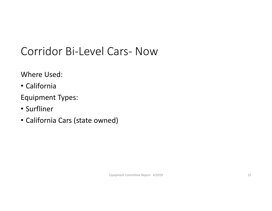# Corridor Bi‐Level Cars‐ Now

Where Used:

• California

Equipment Types:

- Surfliner
- California Cars (state owned)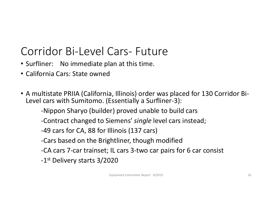# Corridor Bi‐Level Cars‐ Future

- Surfliner: No immediate plan at this time.
- California Cars: State owned
- A multistate PRIIA (California, Illinois) order was placed for 130 Corridor Bi‐ Level cars with Sumitomo. (Essentially a Surfliner‐3):

‐Nippon Sharyo (builder) proved unable to build cars

‐Contract changed to Siemens' *single* level cars instead;

‐49 cars for CA, 88 for Illinois (137 cars)

‐Cars based on the Brightliner, though modified

‐CA cars 7‐car trainset; IL cars 3‐two car pairs for 6 car consist

‐1st Delivery starts 3/2020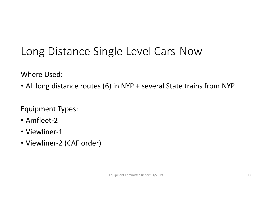# Long Distance Single Level Cars‐Now

Where Used:

• All long distance routes (6) in NYP + several State trains from NYP

Equipment Types:

- Amfleet‐2
- Viewliner-1
- Viewliner‐2 (CAF order)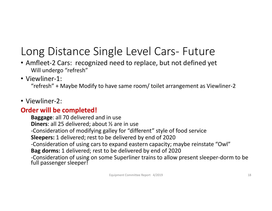# Long Distance Single Level Cars‐ Future

- Amfleet‐2 Cars: recognized need to replace, but not defined ye t Will undergo "refresh"
- Viewliner‐1:

"refresh" + Maybe Modify to have same room/ toilet arrangement as Viewliner‐2

• Viewliner‐2:

#### **Order will be completed!**

**Baggage**: all 70 delivered and in use **Diners**: all 25 delivered; about ½ are in use ‐Consideration of modifying galley for "different" style of food service **Sleepers:** 1 delivered; rest to be delivered by end of 2020 ‐Consideration of using cars to expand eastern capacity; maybe reinstate "Owl" **Bag dorms:** 1 delivered; rest to be delivered by end of 2020 ‐Consideration of using on some Superliner trains to allow present sleeper‐dorm to be full passenger sleeper!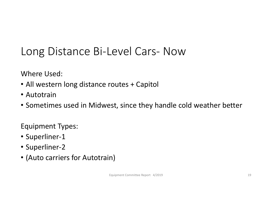# Long Distance Bi‐Level Cars‐ Now

Where Used:

- All western long distance routes + Capitol
- Autotrain
- Sometimes used in Midwest, since they handle cold weather bette r

Equipment Types:

- Superliner‐1
- Superliner‐2
- (Auto carriers for Autotrain)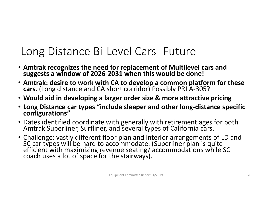#### Long Distance Bi‐Level Cars‐ Future

- **Amtrak recognizes the need for replacement of Multilevel cars and suggests a window of 2026‐2031 when this would be done!**
- **Amtrak: desire to work with CA to develop a common platform for these cars.** (Long distance and CA short corridor) Possibly PRIIA‐305?
- **Would aid in developing a larger order size & more attractive pricing**
- **Long Distance car types "include sleeper and other long‐distance specific configurations"**
- Dates identified coordinate with generally with retirement ages for both Amtrak Superliner, Surfliner, and several types of California cars.
- Challenge: vastly different floor plan and interior arrangements of LD and<br>SC car types will be hard to accommodate. (Superliner plan is quite<br>efficient with maximizing revenue seating/accommodations while SC<br>coach uses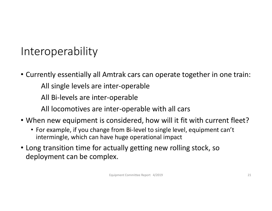#### Interoperability

- Currently essentially all Amtrak cars can operate together in one train:
	- All single levels are inter‐operable
	- All Bi‐levels are inter‐operable
	- All locomotives are inter‐operable with all cars
- When new equipment is considered, how will it fit with current fleet?
	- For example, if you change from Bi‐level to single level, equipment can't intermingle, which can have huge operational impact
- Long transition time for actually getting new rolling stock, so deployment can be complex.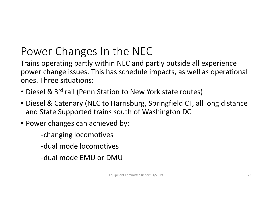# Power Changes In the NEC

Trains operating partly within NEC and partly outside all experience power change issues. This has schedule impacts, as well as operational ones. Three situations:

- Diesel & 3<sup>rd</sup> rail (Penn Station to New York state routes)
- Diesel & Catenary (NEC to Harrisburg, Springfield CT, all long distance and State Supported trains south of Washington DC
- Power changes can achieved by:
	- ‐changing locomotives
	- ‐dual mode locomotives
	- ‐dual mode EMU or DMU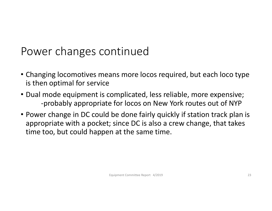#### Power changes continued

- Changing locomotives means more locos required, but each loco type is then optimal for service
- Dual mode equipment is complicated, less reliable, more expensive; ‐probably appropriate for locos on New York routes out of NYP
- Power change in DC could be done fairly quickly if station track plan is appropriate with a pocket; since DC is also a crew change, that takes time too, but could happen at the same time.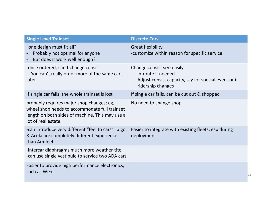| <b>Single Level Trainset</b>                                                                                                                                         | <b>Discrete Cars</b>                                                                                                           |
|----------------------------------------------------------------------------------------------------------------------------------------------------------------------|--------------------------------------------------------------------------------------------------------------------------------|
| "one design must fit all"<br>Probably not optimal for anyone<br>But does it work well enough?                                                                        | <b>Great flexibility</b><br>-customize within reason for specific service                                                      |
| -once ordered, can't change consist<br>You can't really order more of the same cars<br>later                                                                         | Change consist size easily:<br>in-route if needed<br>Adjust consist capacity, say for special event or if<br>ridership changes |
| If single car fails, the whole trainset is lost                                                                                                                      | If single car fails, can be cut out & shopped                                                                                  |
| probably requires major shop changes; eg,<br>wheel shop needs to accommodate full trainset<br>length on both sides of machine. This may use a<br>lot of real estate. | No need to change shop                                                                                                         |
| -can introduce very different "feel to cars" Talgo<br>& Acela are completely different experience<br>than Amfleet                                                    | Easier to integrate with existing fleets, esp during<br>deployment                                                             |
| -intercar diaphragms much more weather-tite<br>-can use single vestibule to service two ADA cars                                                                     |                                                                                                                                |
| Easier to provide high performance electronics,<br>such as WiFi                                                                                                      | 24                                                                                                                             |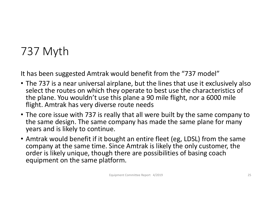# 737 Myth

It has been suggested Amtrak would benefit from the "737 model"

- The 737 is a near universal airplane, but the lines that use it exclusively also select the routes on which they operate to best use the characteristics of the plane. You wouldn't use this plane a 90 mile flight, nor a 6000 mile flight. Amtrak has very diverse route needs
- The core issue with 737 is really that all were built by the same company to the same design. The same company has made the same plane for many years and is likely to continue.
- Amtrak would benefit if it bought an entire fleet (eg, LDSL) from the same company at the same time. Since Amtrak is likely the only customer, the order is likely unique, though there are possibilities of basing coach equipment on the same platform.